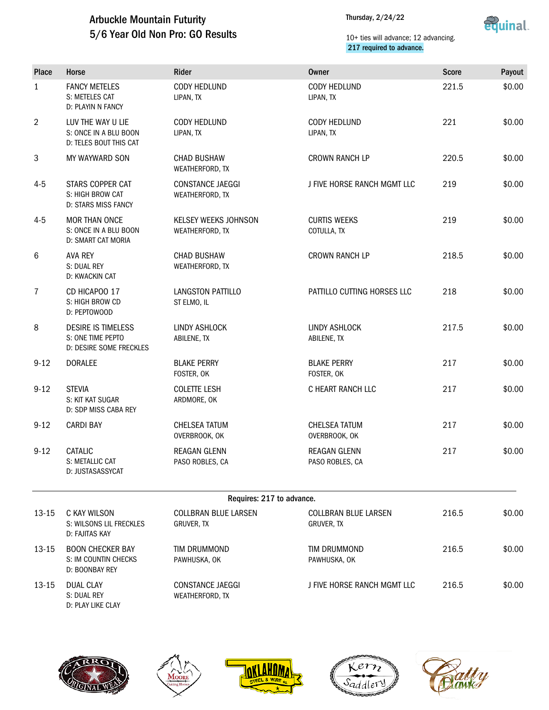## Arbuckle Mountain Futurity 5/6 Year Old Non Pro: GO Results

Thursday, 2/24/22



### 10+ ties will advance; 12 advancing. 217 required to advance.

| <b>Place</b>   | Horse                                                                      | Rider                                      | <b>Owner</b>                              | <b>Score</b> | Payout |
|----------------|----------------------------------------------------------------------------|--------------------------------------------|-------------------------------------------|--------------|--------|
| $\mathbf{1}$   | <b>FANCY METELES</b><br>S: METELES CAT<br>D: PLAYIN N FANCY                | <b>CODY HEDLUND</b><br>LIPAN, TX           | <b>CODY HEDLUND</b><br>LIPAN, TX          | 221.5        | \$0.00 |
| $\overline{2}$ | LUV THE WAY U LIE<br>S: ONCE IN A BLU BOON<br>D: TELES BOUT THIS CAT       | CODY HEDLUND<br>LIPAN, TX                  | CODY HEDLUND<br>LIPAN, TX                 | 221          | \$0.00 |
| 3              | MY WAYWARD SON                                                             | <b>CHAD BUSHAW</b><br>WEATHERFORD, TX      | <b>CROWN RANCH LP</b>                     | 220.5        | \$0.00 |
| $4 - 5$        | STARS COPPER CAT<br>S: HIGH BROW CAT<br>D: STARS MISS FANCY                | <b>CONSTANCE JAEGGI</b><br>WEATHERFORD, TX | J FIVE HORSE RANCH MGMT LLC               | 219          | \$0.00 |
| $4 - 5$        | <b>MOR THAN ONCE</b><br>S: ONCE IN A BLU BOON<br><b>D: SMART CAT MORIA</b> | KELSEY WEEKS JOHNSON<br>WEATHERFORD, TX    | <b>CURTIS WEEKS</b><br>COTULLA, TX        | 219          | \$0.00 |
| 6              | <b>AVA REY</b><br>S: DUAL REY<br>D: KWACKIN CAT                            | <b>CHAD BUSHAW</b><br>WEATHERFORD, TX      | <b>CROWN RANCH LP</b>                     | 218.5        | \$0.00 |
| $\overline{7}$ | CD HICAPOO 17<br>S: HIGH BROW CD<br>D: PEPTOWOOD                           | <b>LANGSTON PATTILLO</b><br>ST ELMO, IL    | PATTILLO CUTTING HORSES LLC               | 218          | \$0.00 |
| 8              | <b>DESIRE IS TIMELESS</b><br>S: ONE TIME PEPTO<br>D: DESIRE SOME FRECKLES  | LINDY ASHLOCK<br>ABILENE, TX               | <b>LINDY ASHLOCK</b><br>ABILENE, TX       | 217.5        | \$0.00 |
| $9 - 12$       | <b>DORALEE</b>                                                             | <b>BLAKE PERRY</b><br>FOSTER, OK           | <b>BLAKE PERRY</b><br>FOSTER, OK          | 217          | \$0.00 |
| $9 - 12$       | <b>STEVIA</b><br>S: KIT KAT SUGAR<br>D: SDP MISS CABA REY                  | <b>COLETTE LESH</b><br>ARDMORE, OK         | C HEART RANCH LLC                         | 217          | \$0.00 |
| $9 - 12$       | <b>CARDI BAY</b>                                                           | <b>CHELSEA TATUM</b><br>OVERBROOK, OK      | <b>CHELSEA TATUM</b><br>OVERBROOK, OK     | 217          | \$0.00 |
| $9 - 12$       | CATALIC<br>S: METALLIC CAT<br>D: JUSTASASSYCAT                             | <b>REAGAN GLENN</b><br>PASO ROBLES, CA     | <b>REAGAN GLENN</b><br>PASO ROBLES, CA    | 217          | \$0.00 |
|                |                                                                            | Requires: 217 to advance.                  |                                           |              |        |
| 13-15          | C KAY WILSON<br>S: WILSONS LIL FRECKLES<br>D: FAJITAS KAY                  | <b>COLLBRAN BLUE LARSEN</b><br>GRUVER, TX  | <b>COLLBRAN BLUE LARSEN</b><br>GRUVER, TX | 216.5        | \$0.00 |
| 13-15          | <b>BOON CHECKER BAY</b><br>S: IM COUNTIN CHECKS<br>D: BOONBAY REY          | TIM DRUMMOND<br>PAWHUSKA, OK               | TIM DRUMMOND<br>PAWHUSKA, OK              | 216.5        | \$0.00 |
| $13 - 15$      | <b>DUAL CLAY</b><br>S: DUAL REY                                            | <b>CONSTANCE JAEGGI</b><br>WEATHERFORD, TX | J FIVE HORSE RANCH MGMT LLC               | 216.5        | \$0.00 |



D: PLAY LIKE CLAY







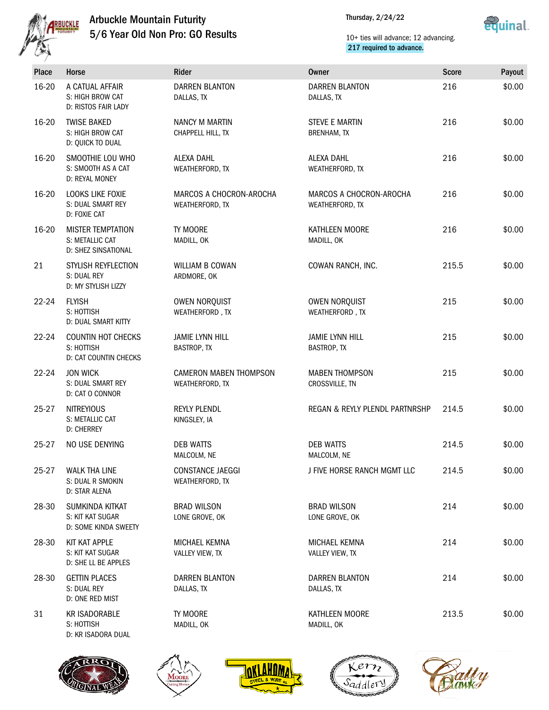

# Arbuckle Mountain Futurity 5/6 Year Old Non Pro: GO Results

Thursday, 2/24/22



### 10+ ties will advance; 12 advancing. 217 required to advance.

| Place     | Horse                                                                   | Rider                                            | <b>Owner</b>                                | <b>Score</b> | Payout |  |
|-----------|-------------------------------------------------------------------------|--------------------------------------------------|---------------------------------------------|--------------|--------|--|
| 16-20     | A CATUAL AFFAIR<br>S: HIGH BROW CAT<br>D: RISTOS FAIR LADY              | <b>DARREN BLANTON</b><br>DALLAS, TX              | <b>DARREN BLANTON</b><br>DALLAS, TX         | 216          | \$0.00 |  |
| 16-20     | <b>TWISE BAKED</b><br>S: HIGH BROW CAT<br>D: QUICK TO DUAL              | NANCY M MARTIN<br>CHAPPELL HILL, TX              | <b>STEVE E MARTIN</b><br><b>BRENHAM, TX</b> | 216          | \$0.00 |  |
| 16-20     | SMOOTHIE LOU WHO<br>S: SMOOTH AS A CAT<br>D: REYAL MONEY                | <b>ALEXA DAHL</b><br>WEATHERFORD, TX             | <b>ALEXA DAHL</b><br>WEATHERFORD, TX        | 216          | \$0.00 |  |
| 16-20     | LOOKS LIKE FOXIE<br>S: DUAL SMART REY<br>D: FOXIE CAT                   | MARCOS A CHOCRON-AROCHA<br>WEATHERFORD, TX       | MARCOS A CHOCRON-AROCHA<br>WEATHERFORD, TX  | 216          | \$0.00 |  |
| 16-20     | <b>MISTER TEMPTATION</b><br>S: METALLIC CAT<br>D: SHEZ SINSATIONAL      | TY MOORE<br>MADILL, OK                           | KATHLEEN MOORE<br>MADILL, OK                | 216          | \$0.00 |  |
| 21        | STYLISH REYFLECTION<br>S: DUAL REY<br>D: MY STYLISH LIZZY               | WILLIAM B COWAN<br>ARDMORE, OK                   | COWAN RANCH, INC.                           | 215.5        | \$0.00 |  |
| 22-24     | <b>FLYISH</b><br>S: HOTTISH<br>D: DUAL SMART KITTY                      | OWEN NORQUIST<br>WEATHERFORD, TX                 | OWEN NORQUIST<br>WEATHERFORD, TX            | 215          | \$0.00 |  |
| $22 - 24$ | <b>COUNTIN HOT CHECKS</b><br>S: HOTTISH<br><b>D: CAT COUNTIN CHECKS</b> | <b>JAMIE LYNN HILL</b><br>BASTROP, TX            | <b>JAMIE LYNN HILL</b><br>BASTROP, TX       | 215          | \$0.00 |  |
| $22 - 24$ | <b>JON WICK</b><br>S: DUAL SMART REY<br>D: CAT O CONNOR                 | <b>CAMERON MABEN THOMPSON</b><br>WEATHERFORD, TX | <b>MABEN THOMPSON</b><br>CROSSVILLE, TN     | 215          | \$0.00 |  |
| $25 - 27$ | <b>NITREYIOUS</b><br>S: METALLIC CAT<br><b>D: CHERREY</b>               | <b>REYLY PLENDL</b><br>KINGSLEY, IA              | REGAN & REYLY PLENDL PARTNRSHP              | 214.5        | \$0.00 |  |
| $25 - 27$ | NO USE DENYING                                                          | <b>DEB WATTS</b><br>MALCOLM, NE                  | <b>DEB WATTS</b><br>MALCOLM, NE             | 214.5        | \$0.00 |  |
| 25-27     | <b>WALK THA LINE</b><br>S: DUAL R SMOKIN<br>D: STAR ALENA               | <b>CONSTANCE JAEGGI</b><br>WEATHERFORD, TX       | J FIVE HORSE RANCH MGMT LLC                 | 214.5        | \$0.00 |  |
| 28-30     | SUMKINDA KITKAT<br>S: KIT KAT SUGAR<br>D: SOME KINDA SWEETY             | <b>BRAD WILSON</b><br>LONE GROVE, OK             | <b>BRAD WILSON</b><br>LONE GROVE, OK        | 214          | \$0.00 |  |
| 28-30     | KIT KAT APPLE<br>S: KIT KAT SUGAR<br>D: SHE LL BE APPLES                | MICHAEL KEMNA<br>VALLEY VIEW, TX                 | MICHAEL KEMNA<br>VALLEY VIEW, TX            | 214          | \$0.00 |  |
| 28-30     | <b>GETTIN PLACES</b><br>S: DUAL REY<br>D: ONE RED MIST                  | <b>DARREN BLANTON</b><br>DALLAS, TX              | <b>DARREN BLANTON</b><br>DALLAS, TX         | 214          | \$0.00 |  |
| 31        | <b>KR ISADORABLE</b><br>S: HOTTISH<br>D: KR ISADORA DUAL                | TY MOORE<br>MADILL, OK                           | KATHLEEN MOORE<br>MADILL, OK                | 213.5        | \$0.00 |  |